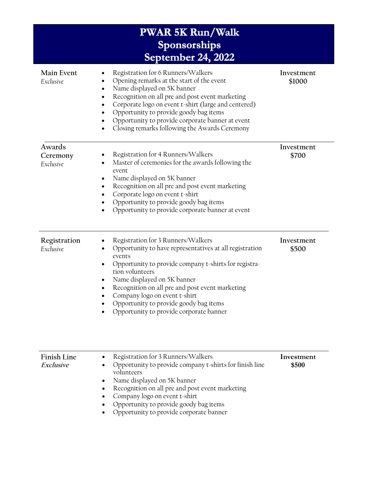| <b>PWAR 5K Run/Walk</b><br>Sponsorships<br>September 24, 2022 |                                                                                                                                                                                                                                                                                                                                                                                             |                      |  |
|---------------------------------------------------------------|---------------------------------------------------------------------------------------------------------------------------------------------------------------------------------------------------------------------------------------------------------------------------------------------------------------------------------------------------------------------------------------------|----------------------|--|
| Main Event<br>Exclusive                                       | Registration for 6 Runners/Walkers<br>Opening remarks at the start of the event<br>Name displayed on 5K banner<br>Recognition on all pre and post event marketing<br>Corporate logo on event t-shirt (large and centered)<br>Opportunity to provide goody bag items<br>Opportunity to provide corporate banner at event<br>Closing remarks following the Awards Ceremony                    | Investment<br>\$1000 |  |
| Awards<br>Ceremony<br>Exclusive                               | Registration for 4 Runners/Walkers<br>Master of ceremonies for the awards following the<br>event<br>Name displayed on 5K banner<br>Recognition on all pre and post event marketing<br>Corporate logo on event t-shirt<br>Opportunity to provide goody bag items<br>Opportunity to provide corporate banner at event                                                                         | Investment<br>\$700  |  |
| Registration<br>Exclusive                                     | Registration for 3 Runners/Walkers<br>Opportunity to have representatives at all registration<br>events<br>Opportunity to provide company t-shirts for registra-<br>tion volunteers<br>Name displayed on 5K banner<br>Recognition on all pre and post event marketing<br>Company logo on event t-shirt<br>Opportunity to provide goody bag items<br>Opportunity to provide corporate banner | Investment<br>\$500  |  |
| Finish Line                                                   | Registration for 3 Runners/Walkers                                                                                                                                                                                                                                                                                                                                                          | Investment           |  |

| <b>FINISH LINE</b> | • Registration for 5 Runners vvalkers                     | <i>Invesunent</i> |
|--------------------|-----------------------------------------------------------|-------------------|
| Exclusive          | • Opportunity to provide company t-shirts for finish line | \$500             |
|                    | volunteers                                                |                   |
|                    | Name displayed on 5K banner                               |                   |
|                    | Recognition on all pre and post event marketing           |                   |
|                    | • Company logo on event $t$ -shirt                        |                   |
|                    | . Opportunity to provide goody begitoms                   |                   |

- Opportunity to provide goody bag items
- Opportunity to provide corporate banner